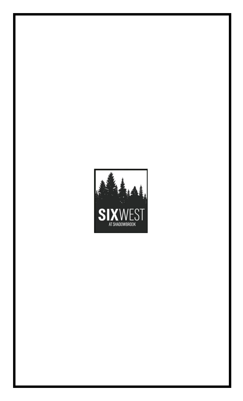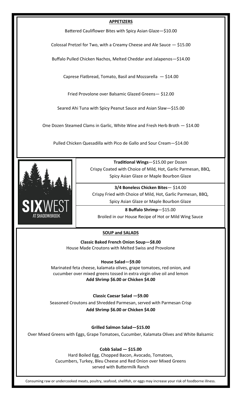### **APPETIZERS**

Battered Cauliflower Bites with Spicy Asian Glaze—\$10.00

Colossal Pretzel for Two, with a Creamy Cheese and Ale Sauce — \$15.00

Buffalo Pulled Chicken Nachos, Melted Cheddar and Jalapenos—\$14.00

Caprese Flatbread, Tomato, Basil and Mozzarella — \$14.00

Fried Provolone over Balsamic Glazed Greens— \$12.00

Seared Ahi Tuna with Spicy Peanut Sauce and Asian Slaw—\$15.00

One Dozen Steamed Clams in Garlic, White Wine and Fresh Herb Broth — \$14.00

Pulled Chicken Quesadilla with Pico de Gallo and Sour Cream—\$14.00



**Traditional Wings**—\$15.00 per Dozen Crispy Coated with Choice of Mild, Hot, Garlic Parmesan, BBQ, Spicy Asian Glaze or Maple Bourbon Glaze

**3/4 Boneless Chicken Bites**— \$14.00 Crispy Fried with Choice of Mild, Hot, Garlic Parmesan, BBQ, Spicy Asian Glaze or Maple Bourbon Glaze

**8 Buffalo Shrimp**—\$15.00 Broiled in our House Recipe of Hot or Mild Wing Sauce

## **SOUP and SALADS**

**Classic Baked French Onion Soup—\$8.00** House Made Croutons with Melted Swiss and Provolone

**House Salad—\$9.00**

Marinated feta cheese, kalamata olives, grape tomatoes, red onion, and cucumber over mixed greens tossed in extra virgin olive oil and lemon **Add Shrimp \$6.00 or Chicken \$4.00**

**Classic Caesar Salad —\$9.00**  Seasoned Croutons and Shredded Parmesan, served with Parmesan Crisp **Add Shrimp \$6.00 or Chicken \$4.00**

**Grilled Salmon Salad—\$15.00** 

Over Mixed Greens with Eggs, Grape Tomatoes, Cucumber, Kalamata Olives and White Balsamic

**Cobb Salad — \$15.00** 

Hard Boiled Egg, Chopped Bacon, Avocado, Tomatoes, Cucumbers, Turkey, Bleu Cheese and Red Onion over Mixed Greens served with Buttermilk Ranch

Consuming raw or undercooked meats, poultry, seafood, shellfish, or eggs may increase your risk of foodborne illness.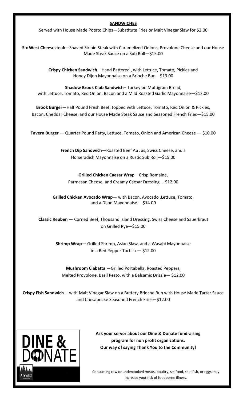#### **SANDWICHES**

Served with House Made Potato Chips—Substitute Fries or Malt Vinegar Slaw for \$2.00

**Six West Cheesesteak**—Shaved Sirloin Steak with Caramelized Onions, Provolone Cheese and our House Made Steak Sauce on a Sub Roll—\$15.00

> **Crispy Chicken Sandwich**—Hand Battered , with Lettuce, Tomato, Pickles and Honey Dijon Mayonnaise on a Brioche Bun—\$13.00

**Shadow Brook Club Sandwich**– Turkey on Multigrain Bread, with Lettuce, Tomato, Red Onion, Bacon and a Mild Roasted Garlic Mayonnaise—\$12.00

**Brook Burger**—Half Pound Fresh Beef, topped with Lettuce, Tomato, Red Onion & Pickles, Bacon, Cheddar Cheese, and our House Made Steak Sauce and Seasoned French Fries—\$15.00

**Tavern Burger** — Quarter Pound Patty, Lettuce, Tomato, Onion and American Cheese — \$10.00

**French Dip Sandwich**—Roasted Beef Au Jus, Swiss Cheese, and a Horseradish Mayonnaise on a Rustic Sub Roll—\$15.00

**Grilled Chicken Caesar Wrap**—Crisp Romaine, Parmesan Cheese, and Creamy Caesar Dressing— \$12.00

**Grilled Chicken Avocado Wrap**— with Bacon, Avocado ,Lettuce, Tomato, and a Dijon Mayonnaise— \$14.00

**Classic Reuben** — Corned Beef, Thousand Island Dressing, Swiss Cheese and Sauerkraut on Grilled Rye—\$15.00

**Shrimp Wrap**— Grilled Shrimp, Asian Slaw, and a Wasabi Mayonnaise in a Red Pepper Tortilla — \$12.00

**Mushroom Ciabatta** —Grilled Portabella, Roasted Peppers, Melted Provolone, Basil Pesto, with a Balsamic Drizzle— \$12.00

**Crispy Fish Sandwich**— with Malt Vinegar Slaw on a Buttery Brioche Bun with House Made Tartar Sauce and Chesapeake Seasoned French Fries—\$12.00



**Ask your server about our Dine & Donate fundraising program for non profit organizations. Our way of saying Thank You to the Community!**

Consuming raw or undercooked meats, poultry, seafood, shellfish, or eggs may increase your risk of foodborne illness.